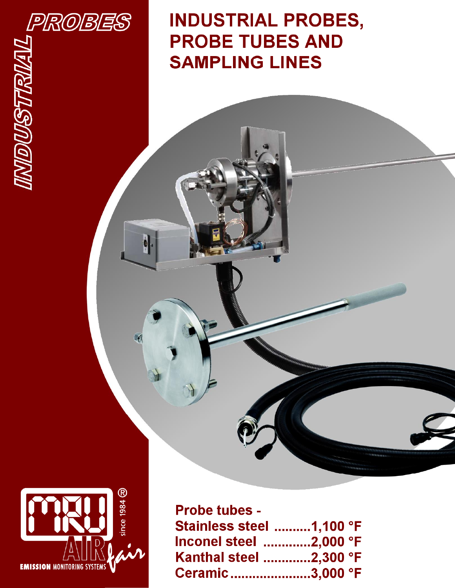

 $\theta$ 

**INDUSTRIAL PROBES, PROBE TUBES AND SAMPLING LINES** 



| <b>Probe tubes -</b>     |  |
|--------------------------|--|
| Stainless steel 1.100 °F |  |
| lnconel steel  2,000 °F  |  |
| Kanthal steel 2,300 °F   |  |
| Ceramic 3.000 °F         |  |

............